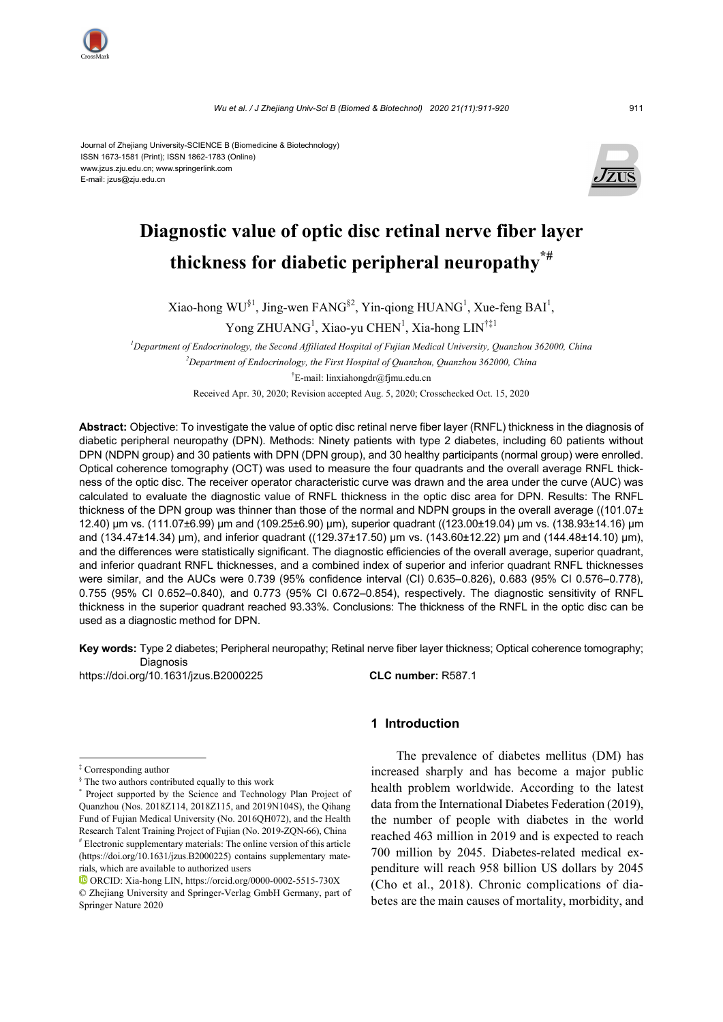

Journal of Zhejiang University-SCIENCE B (Biomedicine & Biotechnology) ISSN 1673-1581 (Print); ISSN 1862-1783 (Online) www.jzus.zju.edu.cn; www.springerlink.com E-mail: jzus@zju.edu.cn



# **Diagnostic value of optic disc retinal nerve fiber layer thickness for diabetic peripheral neuropathy\*#**

Xiao-hong WU<sup>§1</sup>, Jing-wen FANG<sup>§2</sup>, Yin-qiong HUANG<sup>1</sup>, Xue-feng BAI<sup>1</sup>,

Yong ZHUANG<sup>1</sup>, Xiao-yu CHEN<sup>1</sup>, Xia-hong LIN<sup>†‡1</sup>

*1 Department of Endocrinology, the Second Affiliated Hospital of Fujian Medical University, Quanzhou 362000, China 2 Department of Endocrinology, the First Hospital of Quanzhou, Quanzhou 362000, China*  † E-mail: linxiahongdr@fjmu.edu.cn

Received Apr. 30, 2020; Revision accepted Aug. 5, 2020; Crosschecked Oct. 15, 2020

**Abstract:** Objective: To investigate the value of optic disc retinal nerve fiber layer (RNFL) thickness in the diagnosis of diabetic peripheral neuropathy (DPN). Methods: Ninety patients with type 2 diabetes, including 60 patients without DPN (NDPN group) and 30 patients with DPN (DPN group), and 30 healthy participants (normal group) were enrolled. Optical coherence tomography (OCT) was used to measure the four quadrants and the overall average RNFL thickness of the optic disc. The receiver operator characteristic curve was drawn and the area under the curve (AUC) was calculated to evaluate the diagnostic value of RNFL thickness in the optic disc area for DPN. Results: The RNFL thickness of the DPN group was thinner than those of the normal and NDPN groups in the overall average ((101.07± 12.40) µm vs. (111.07±6.99) µm and (109.25±6.90) µm), superior quadrant ((123.00±19.04) µm vs. (138.93±14.16) µm and (134.47±14.34) µm), and inferior quadrant ((129.37±17.50) µm vs. (143.60±12.22) µm and (144.48±14.10) µm), and the differences were statistically significant. The diagnostic efficiencies of the overall average, superior quadrant, and inferior quadrant RNFL thicknesses, and a combined index of superior and inferior quadrant RNFL thicknesses were similar, and the AUCs were 0.739 (95% confidence interval (CI) 0.635–0.826), 0.683 (95% CI 0.576–0.778), 0.755 (95% CI 0.652–0.840), and 0.773 (95% CI 0.672–0.854), respectively. The diagnostic sensitivity of RNFL thickness in the superior quadrant reached 93.33%. Conclusions: The thickness of the RNFL in the optic disc can be used as a diagnostic method for DPN.

**Key words:** Type 2 diabetes; Peripheral neuropathy; Retinal nerve fiber layer thickness; Optical coherence tomography; Diagnosis

https://doi.org/10.1631/jzus.B2000225 **CLC number:** R587.1

‡ Corresponding author

**1 Introduction** 

The prevalence of diabetes mellitus (DM) has increased sharply and has become a major public health problem worldwide. According to the latest data from the International Diabetes Federation (2019), the number of people with diabetes in the world reached 463 million in 2019 and is expected to reach 700 million by 2045. Diabetes-related medical expenditure will reach 958 billion US dollars by 2045 (Cho et al., 2018). Chronic complications of diabetes are the main causes of mortality, morbidity, and

<sup>§</sup> The two authors contributed equally to this work

<sup>\*</sup> Project supported by the Science and Technology Plan Project of Quanzhou (Nos. 2018Z114, 2018Z115, and 2019N104S), the Qihang Fund of Fujian Medical University (No. 2016QH072), and the Health Research Talent Training Project of Fujian (No. 2019-ZQN-66), China

<sup>#</sup> Electronic supplementary materials: The online version of this article (https://doi.org/10.1631/jzus.B2000225) contains supplementary materials, which are available to authorized users

ORCID: Xia-hong LIN, https://orcid.org/0000-0002-5515-730X © Zhejiang University and Springer-Verlag GmbH Germany, part of Springer Nature 2020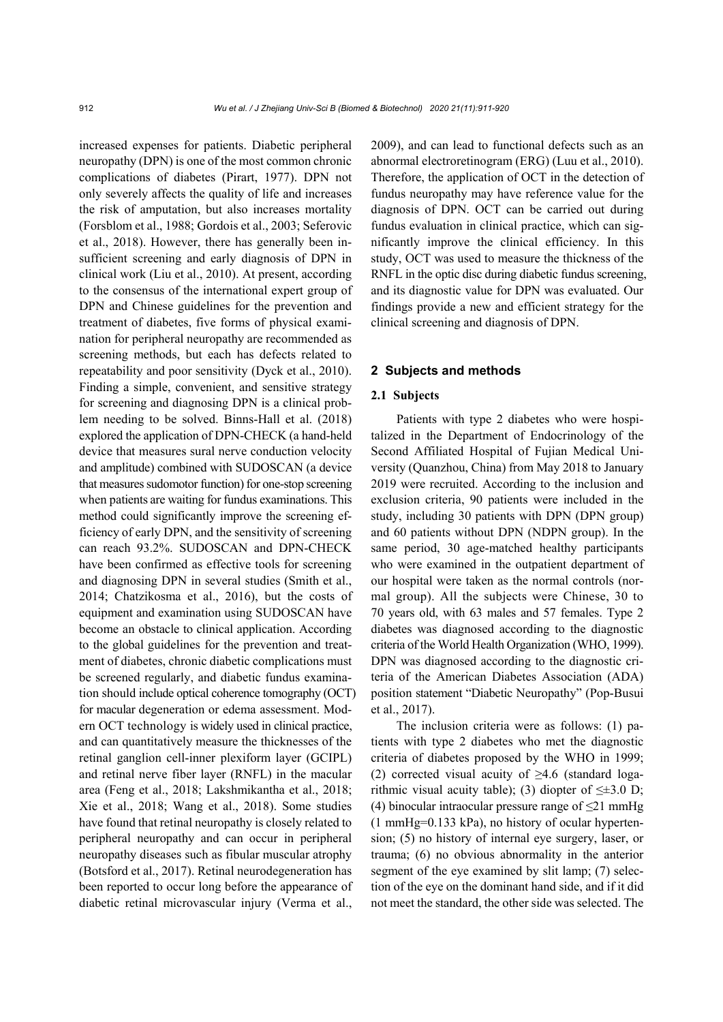increased expenses for patients. Diabetic peripheral neuropathy (DPN) is one of the most common chronic complications of diabetes (Pirart, 1977). DPN not only severely affects the quality of life and increases the risk of amputation, but also increases mortality (Forsblom et al., 1988; Gordois et al., 2003; Seferovic et al., 2018). However, there has generally been insufficient screening and early diagnosis of DPN in clinical work (Liu et al., 2010). At present, according to the consensus of the international expert group of DPN and Chinese guidelines for the prevention and treatment of diabetes, five forms of physical examination for peripheral neuropathy are recommended as screening methods, but each has defects related to repeatability and poor sensitivity (Dyck et al., 2010). Finding a simple, convenient, and sensitive strategy for screening and diagnosing DPN is a clinical problem needing to be solved. Binns-Hall et al. (2018) explored the application of DPN-CHECK (a hand-held device that measures sural nerve conduction velocity and amplitude) combined with SUDOSCAN (a device that measures sudomotor function) for one-stop screening when patients are waiting for fundus examinations. This method could significantly improve the screening efficiency of early DPN, and the sensitivity of screening can reach 93.2%. SUDOSCAN and DPN-CHECK have been confirmed as effective tools for screening and diagnosing DPN in several studies (Smith et al., 2014; Chatzikosma et al., 2016), but the costs of equipment and examination using SUDOSCAN have become an obstacle to clinical application. According to the global guidelines for the prevention and treatment of diabetes, chronic diabetic complications must be screened regularly, and diabetic fundus examination should include optical coherence tomography (OCT) for macular degeneration or edema assessment. Modern OCT technology is widely used in clinical practice, and can quantitatively measure the thicknesses of the retinal ganglion cell-inner plexiform layer (GCIPL) and retinal nerve fiber layer (RNFL) in the macular area (Feng et al., 2018; Lakshmikantha et al., 2018; Xie et al., 2018; Wang et al., 2018). Some studies have found that retinal neuropathy is closely related to peripheral neuropathy and can occur in peripheral neuropathy diseases such as fibular muscular atrophy (Botsford et al., 2017). Retinal neurodegeneration has been reported to occur long before the appearance of diabetic retinal microvascular injury (Verma et al.,

2009), and can lead to functional defects such as an abnormal electroretinogram (ERG) (Luu et al., 2010). Therefore, the application of OCT in the detection of fundus neuropathy may have reference value for the diagnosis of DPN. OCT can be carried out during fundus evaluation in clinical practice, which can significantly improve the clinical efficiency. In this study, OCT was used to measure the thickness of the RNFL in the optic disc during diabetic fundus screening, and its diagnostic value for DPN was evaluated. Our findings provide a new and efficient strategy for the clinical screening and diagnosis of DPN.

## **2 Subjects and methods**

## **2.1 Subjects**

Patients with type 2 diabetes who were hospitalized in the Department of Endocrinology of the Second Affiliated Hospital of Fujian Medical University (Quanzhou, China) from May 2018 to January 2019 were recruited. According to the inclusion and exclusion criteria, 90 patients were included in the study, including 30 patients with DPN (DPN group) and 60 patients without DPN (NDPN group). In the same period, 30 age-matched healthy participants who were examined in the outpatient department of our hospital were taken as the normal controls (normal group). All the subjects were Chinese, 30 to 70 years old, with 63 males and 57 females. Type 2 diabetes was diagnosed according to the diagnostic criteria of the World Health Organization (WHO, 1999). DPN was diagnosed according to the diagnostic criteria of the American Diabetes Association (ADA) position statement "Diabetic Neuropathy" (Pop-Busui et al., 2017).

The inclusion criteria were as follows: (1) patients with type 2 diabetes who met the diagnostic criteria of diabetes proposed by the WHO in 1999; (2) corrected visual acuity of  $\geq 4.6$  (standard logarithmic visual acuity table); (3) diopter of  $\leq \pm 3.0$  D; (4) binocular intraocular pressure range of  $\leq$ 21 mmHg (1 mmHg=0.133 kPa), no history of ocular hypertension; (5) no history of internal eye surgery, laser, or trauma; (6) no obvious abnormality in the anterior segment of the eye examined by slit lamp; (7) selection of the eye on the dominant hand side, and if it did not meet the standard, the other side was selected. The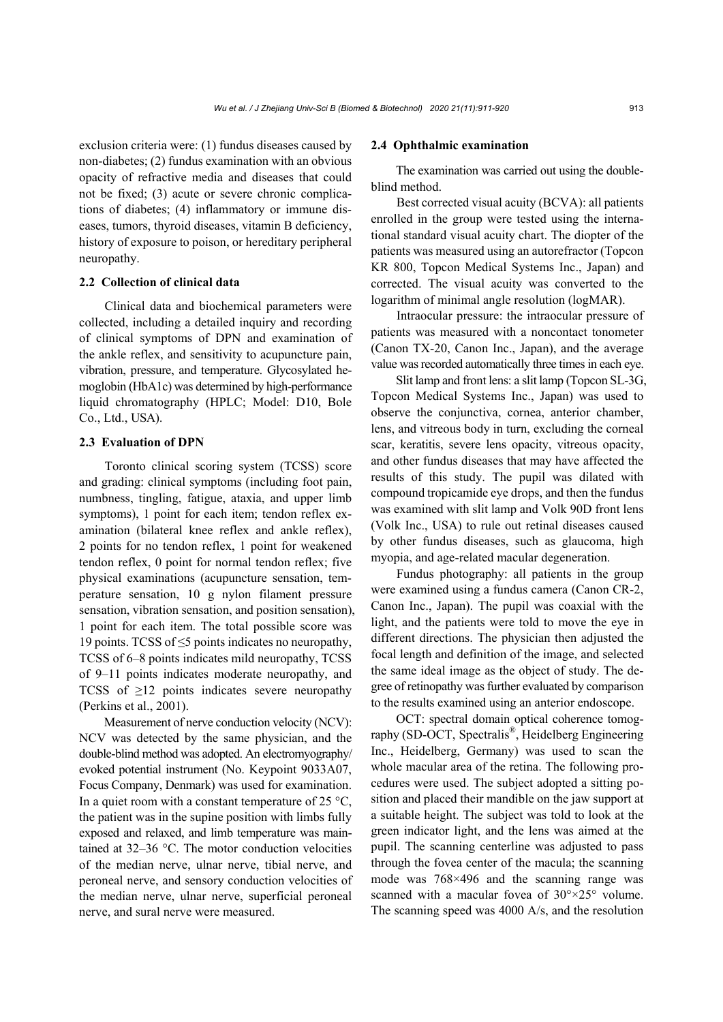exclusion criteria were: (1) fundus diseases caused by non-diabetes; (2) fundus examination with an obvious opacity of refractive media and diseases that could not be fixed; (3) acute or severe chronic complications of diabetes; (4) inflammatory or immune diseases, tumors, thyroid diseases, vitamin B deficiency, history of exposure to poison, or hereditary peripheral neuropathy.

### **2.2 Collection of clinical data**

Clinical data and biochemical parameters were collected, including a detailed inquiry and recording of clinical symptoms of DPN and examination of the ankle reflex, and sensitivity to acupuncture pain, vibration, pressure, and temperature. Glycosylated hemoglobin (HbA1c) was determined by high-performance liquid chromatography (HPLC; Model: D10, Bole Co., Ltd., USA).

## **2.3 Evaluation of DPN**

Toronto clinical scoring system (TCSS) score and grading: clinical symptoms (including foot pain, numbness, tingling, fatigue, ataxia, and upper limb symptoms), 1 point for each item; tendon reflex examination (bilateral knee reflex and ankle reflex), 2 points for no tendon reflex, 1 point for weakened tendon reflex, 0 point for normal tendon reflex; five physical examinations (acupuncture sensation, temperature sensation, 10 g nylon filament pressure sensation, vibration sensation, and position sensation), 1 point for each item. The total possible score was 19 points. TCSS of ≤5 points indicates no neuropathy, TCSS of 6–8 points indicates mild neuropathy, TCSS of 9–11 points indicates moderate neuropathy, and TCSS of  $\geq$ 12 points indicates severe neuropathy (Perkins et al., 2001).

Measurement of nerve conduction velocity (NCV): NCV was detected by the same physician, and the double-blind method was adopted. An electromyography/ evoked potential instrument (No. Keypoint 9033A07, Focus Company, Denmark) was used for examination. In a quiet room with a constant temperature of 25  $\mathrm{^{\circ}C}$ , the patient was in the supine position with limbs fully exposed and relaxed, and limb temperature was maintained at 32–36 °C. The motor conduction velocities of the median nerve, ulnar nerve, tibial nerve, and peroneal nerve, and sensory conduction velocities of the median nerve, ulnar nerve, superficial peroneal nerve, and sural nerve were measured.

#### **2.4 Ophthalmic examination**

The examination was carried out using the doubleblind method.

Best corrected visual acuity (BCVA): all patients enrolled in the group were tested using the international standard visual acuity chart. The diopter of the patients was measured using an autorefractor (Topcon KR 800, Topcon Medical Systems Inc., Japan) and corrected. The visual acuity was converted to the logarithm of minimal angle resolution (logMAR).

Intraocular pressure: the intraocular pressure of patients was measured with a noncontact tonometer (Canon TX-20, Canon Inc., Japan), and the average value was recorded automatically three times in each eye.

Slit lamp and front lens: a slit lamp (Topcon SL-3G, Topcon Medical Systems Inc., Japan) was used to observe the conjunctiva, cornea, anterior chamber, lens, and vitreous body in turn, excluding the corneal scar, keratitis, severe lens opacity, vitreous opacity, and other fundus diseases that may have affected the results of this study. The pupil was dilated with compound tropicamide eye drops, and then the fundus was examined with slit lamp and Volk 90D front lens (Volk Inc., USA) to rule out retinal diseases caused by other fundus diseases, such as glaucoma, high myopia, and age-related macular degeneration.

Fundus photography: all patients in the group were examined using a fundus camera (Canon CR-2, Canon Inc., Japan). The pupil was coaxial with the light, and the patients were told to move the eye in different directions. The physician then adjusted the focal length and definition of the image, and selected the same ideal image as the object of study. The degree of retinopathy was further evaluated by comparison to the results examined using an anterior endoscope.

OCT: spectral domain optical coherence tomography (SD-OCT, Spectralis®, Heidelberg Engineering Inc., Heidelberg, Germany) was used to scan the whole macular area of the retina. The following procedures were used. The subject adopted a sitting position and placed their mandible on the jaw support at a suitable height. The subject was told to look at the green indicator light, and the lens was aimed at the pupil. The scanning centerline was adjusted to pass through the fovea center of the macula; the scanning mode was 768×496 and the scanning range was scanned with a macular fovea of 30°×25° volume. The scanning speed was 4000 A/s, and the resolution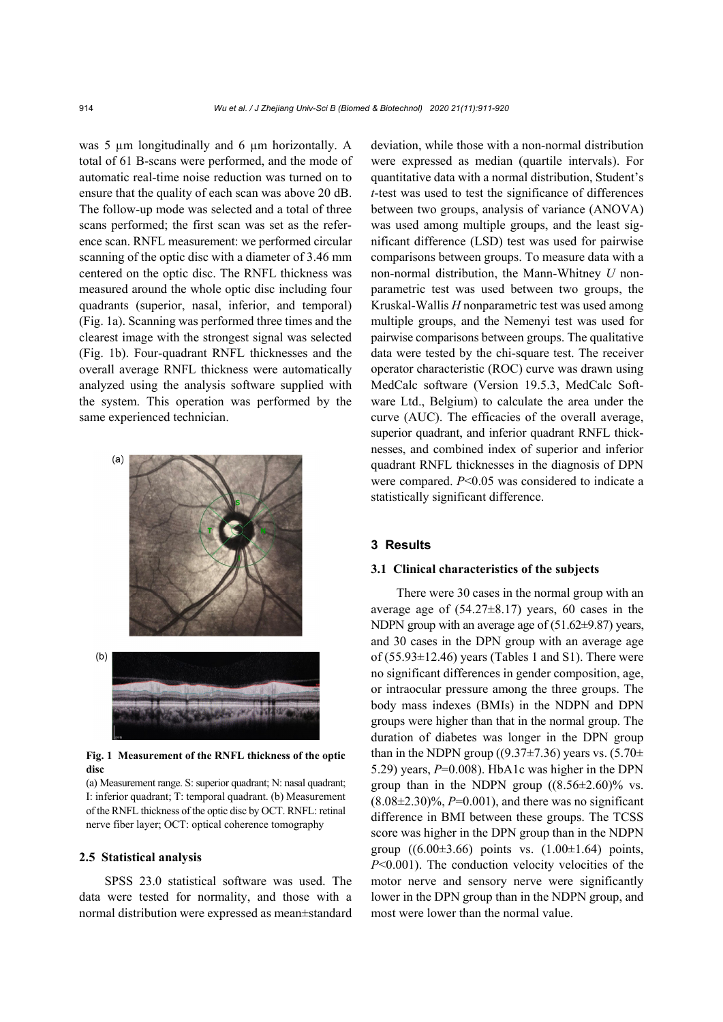was 5 µm longitudinally and 6 µm horizontally. A total of 61 B-scans were performed, and the mode of automatic real-time noise reduction was turned on to ensure that the quality of each scan was above 20 dB. The follow-up mode was selected and a total of three scans performed; the first scan was set as the reference scan. RNFL measurement: we performed circular scanning of the optic disc with a diameter of 3.46 mm centered on the optic disc. The RNFL thickness was measured around the whole optic disc including four quadrants (superior, nasal, inferior, and temporal) (Fig. 1a). Scanning was performed three times and the clearest image with the strongest signal was selected (Fig. 1b). Four-quadrant RNFL thicknesses and the overall average RNFL thickness were automatically analyzed using the analysis software supplied with the system. This operation was performed by the same experienced technician.



**Fig. 1 Measurement of the RNFL thickness of the optic disc** 

(a) Measurement range. S: superior quadrant; N: nasal quadrant; I: inferior quadrant; T: temporal quadrant. (b) Measurement of the RNFL thickness of the optic disc by OCT. RNFL: retinal nerve fiber layer; OCT: optical coherence tomography

## **2.5 Statistical analysis**

SPSS 23.0 statistical software was used. The data were tested for normality, and those with a normal distribution were expressed as mean±standard deviation, while those with a non-normal distribution were expressed as median (quartile intervals). For quantitative data with a normal distribution, Student's *t*-test was used to test the significance of differences between two groups, analysis of variance (ANOVA) was used among multiple groups, and the least significant difference (LSD) test was used for pairwise comparisons between groups. To measure data with a non-normal distribution, the Mann-Whitney *U* nonparametric test was used between two groups, the Kruskal-Wallis *H* nonparametric test was used among multiple groups, and the Nemenyi test was used for pairwise comparisons between groups. The qualitative data were tested by the chi-square test. The receiver operator characteristic (ROC) curve was drawn using MedCalc software (Version 19.5.3, MedCalc Software Ltd., Belgium) to calculate the area under the curve (AUC). The efficacies of the overall average, superior quadrant, and inferior quadrant RNFL thicknesses, and combined index of superior and inferior quadrant RNFL thicknesses in the diagnosis of DPN were compared. *P*<0.05 was considered to indicate a statistically significant difference.

## **3 Results**

## **3.1 Clinical characteristics of the subjects**

There were 30 cases in the normal group with an average age of  $(54.27\pm8.17)$  years, 60 cases in the NDPN group with an average age of (51.62±9.87) years, and 30 cases in the DPN group with an average age of  $(55.93\pm12.46)$  years (Tables 1 and S1). There were no significant differences in gender composition, age, or intraocular pressure among the three groups. The body mass indexes (BMIs) in the NDPN and DPN groups were higher than that in the normal group. The duration of diabetes was longer in the DPN group than in the NDPN group ((9.37 $\pm$ 7.36) years vs. (5.70 $\pm$ 5.29) years,  $P=0.008$ . HbA1c was higher in the DPN group than in the NDPN group  $((8.56 \pm 2.60)\%$  vs.  $(8.08\pm2.30)\%$ , *P*=0.001), and there was no significant difference in BMI between these groups. The TCSS score was higher in the DPN group than in the NDPN group  $((6.00\pm3.66)$  points vs.  $(1.00\pm1.64)$  points, *P*<0.001). The conduction velocity velocities of the motor nerve and sensory nerve were significantly lower in the DPN group than in the NDPN group, and most were lower than the normal value.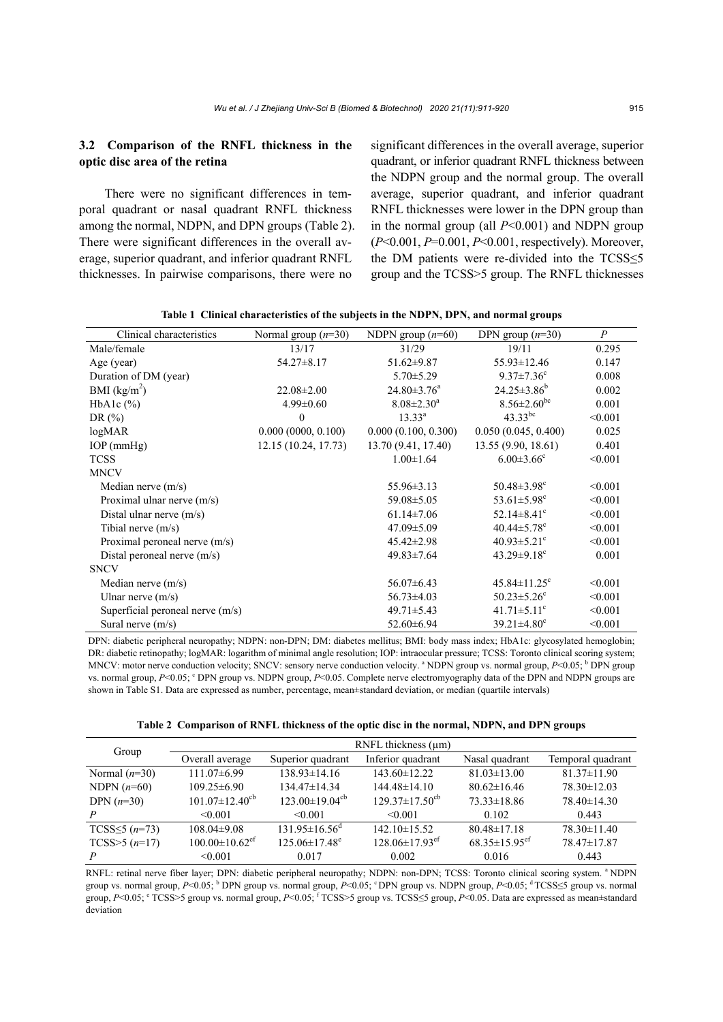## **3.2 Comparison of the RNFL thickness in the optic disc area of the retina**

There were no significant differences in temporal quadrant or nasal quadrant RNFL thickness among the normal, NDPN, and DPN groups (Table 2). There were significant differences in the overall average, superior quadrant, and inferior quadrant RNFL thicknesses. In pairwise comparisons, there were no

significant differences in the overall average, superior quadrant, or inferior quadrant RNFL thickness between the NDPN group and the normal group. The overall average, superior quadrant, and inferior quadrant RNFL thicknesses were lower in the DPN group than in the normal group (all *P*<0.001) and NDPN group (*P*<0.001, *P*=0.001, *P*<0.001, respectively). Moreover, the DM patients were re-divided into the TCSS≤5 group and the TCSS>5 group. The RNFL thicknesses

| Clinical characteristics           | Normal group $(n=30)$ | NDPN group $(n=60)$ | $\boldsymbol{P}$<br>DPN group $(n=30)$ |         |
|------------------------------------|-----------------------|---------------------|----------------------------------------|---------|
| Male/female                        | 13/17                 | 31/29               | 19/11                                  | 0.295   |
| Age (year)                         | $54.27 \pm 8.17$      | $51.62 \pm 9.87$    | 55.93±12.46<br>0.147                   |         |
| Duration of DM (year)              |                       | $5.70 \pm 5.29$     | $9.37 \pm 7.36$ °                      | 0.008   |
| BMI $(kg/m^2)$                     | $22.08 \pm 2.00$      | $24.80 \pm 3.76^a$  | $24.25 \pm 3.86^b$                     | 0.002   |
| HbA <sub>1</sub> c $(\%)$          | $4.99 \pm 0.60$       | $8.08 \pm 2.30^a$   | $8.56 \pm 2.60^{bc}$                   | 0.001   |
| DR $(\%)$                          | $\theta$              | $13.33^{\rm a}$     | $43.33^{bc}$                           | < 0.001 |
| log <sub>MAP</sub>                 | 0.000(0000, 0.100)    | 0.000(0.100, 0.300) | 0.050(0.045, 0.400)                    | 0.025   |
| $IOP$ (mm $Hg$ )                   | 12.15 (10.24, 17.73)  | 13.70 (9.41, 17.40) | 13.55 (9.90, 18.61)                    | 0.401   |
| <b>TCSS</b>                        |                       | $1.00 \pm 1.64$     | $6.00 \pm 3.66$ <sup>c</sup>           | < 0.001 |
| <b>MNCV</b>                        |                       |                     |                                        |         |
| Median nerve $(m/s)$               |                       | $55.96 \pm 3.13$    | 50.48 $\pm$ 3.98 $^{\circ}$            | < 0.001 |
| Proximal ulnar nerve $(m/s)$       |                       | 59.08 ± 5.05        | 53.61 $\pm$ 5.98 <sup>c</sup>          | < 0.001 |
| Distal ulnar nerve $(m/s)$         |                       | $61.14 \pm 7.06$    | 52.14 $\pm$ 8.41 $\rm{^c}$             | < 0.001 |
| Tibial nerve $(m/s)$               |                       | 47.09 ± 5.09        | $40.44 \pm 5.78$ <sup>c</sup>          | < 0.001 |
| Proximal peroneal nerve (m/s)      |                       | $45.42 \pm 2.98$    | $40.93 \pm 5.21$ °                     | < 0.001 |
| Distal peroneal nerve $(m/s)$      |                       | $49.83 \pm 7.64$    | $43.29 \pm 9.18$ <sup>c</sup>          | 0.001   |
| <b>SNCV</b>                        |                       |                     |                                        |         |
| Median nerve $(m/s)$               |                       | $56.07\pm6.43$      | $45.84 \pm 11.25$ <sup>c</sup>         | < 0.001 |
| Ulnar nerve $(m/s)$                |                       | $56.73 \pm 4.03$    | $50.23 \pm 5.26$ <sup>c</sup>          | < 0.001 |
| Superficial peroneal nerve $(m/s)$ |                       | $49.71 \pm 5.43$    | $41.71 \pm 5.11$ <sup>c</sup>          | < 0.001 |
| Sural nerve $(m/s)$                |                       | $52.60 \pm 6.94$    | $39.21 \pm 4.80$ <sup>c</sup>          | < 0.001 |

**Table 1 Clinical characteristics of the subjects in the NDPN, DPN, and normal groups** 

DPN: diabetic peripheral neuropathy; NDPN: non-DPN; DM: diabetes mellitus; BMI: body mass index; HbA1c: glycosylated hemoglobin; DR: diabetic retinopathy; logMAR: logarithm of minimal angle resolution; IOP: intraocular pressure; TCSS: Toronto clinical scoring system; MNCV: motor nerve conduction velocity; SNCV: sensory nerve conduction velocity. <sup>a</sup> NDPN group vs. normal group, *P*<0.05; <sup>b</sup> DPN group vs. normal group, P<0.05; <sup>c</sup> DPN group vs. NDPN group, P<0.05. Complete nerve electromyography data of the DPN and NDPN groups are shown in Table S1. Data are expressed as number, percentage, mean±standard deviation, or median (quartile intervals)

**Table 2 Comparison of RNFL thickness of the optic disc in the normal, NDPN, and DPN groups** 

| Group                         |                                  |                                  | RNFL thickness $(\mu m)$         |                                 |                   |
|-------------------------------|----------------------------------|----------------------------------|----------------------------------|---------------------------------|-------------------|
|                               | Overall average                  | Superior quadrant                | Inferior quadrant                | Nasal quadrant                  | Temporal quadrant |
| Normal $(n=30)$               | $111.07\pm 6.99$                 | $138.93 \pm 14.16$               | $143.60 \pm 12.22$               | $81.03 \pm 13.00$               | $81.37 \pm 11.90$ |
| NDPN $(n=60)$                 | $109.25 \pm 6.90$                | $134.47 \pm 14.34$               | $144.48\pm14.10$                 | $80.62 \pm 16.46$               | $78.30 \pm 12.03$ |
| DPN $(n=30)$                  | $101.07 \pm 12.40^{\text{cb}}$   | $123.00 \pm 19.04$ <sup>cb</sup> | $129.37 \pm 17.50^{\text{cb}}$   | $73.33\pm18.86$                 | $78.40 \pm 14.30$ |
| P                             | < 0.001                          | < 0.001                          | $\leq 0.001$                     | 0.102                           | 0.443             |
| TCSS $\leq$ 5 ( <i>n</i> =73) | $108.04\pm9.08$                  | $131.95\pm16.56^{\circ}$         | $142.10\pm15.52$                 | $80.48 \pm 17.18$               | $78.30 \pm 11.40$ |
| TCSS $>5(n=17)$               | $100.00 \pm 10.62$ <sup>ef</sup> | $125.06 \pm 17.48^e$             | $128.06 \pm 17.93$ <sup>ef</sup> | $68.35 \pm 15.95$ <sup>ef</sup> | 78.47±17.87       |
|                               | < 0.001                          | 0.017                            | 0.002                            | 0.016                           | 0.443             |

RNFL: retinal nerve fiber layer; DPN: diabetic peripheral neuropathy; NDPN: non-DPN; TCSS: Toronto clinical scoring system. <sup>a</sup> NDPN group vs. normal group, *P*<0.05; <sup>b</sup> DPN group vs. normal group, *P*<0.05; <sup>c</sup> DPN group vs. NDPN group, *P*<0.05; <sup>d</sup> TCSS≤5 group vs. normal group, *P*<0.05; <sup>e</sup> TCSS>5 group vs. normal group, *P*<0.05; <sup>f</sup> TCSS>5 group vs. TCSS≤5 group, *P*<0.05. Data are expressed as mean±standard deviation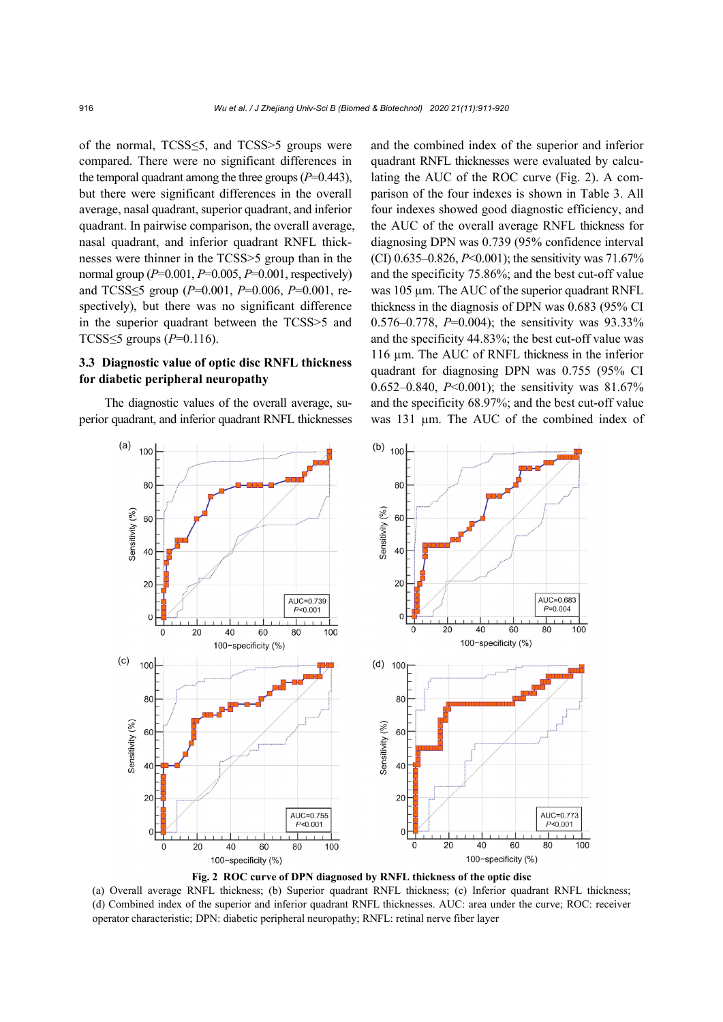of the normal, TCSS≤5, and TCSS>5 groups were compared. There were no significant differences in the temporal quadrant among the three groups  $(P=0.443)$ , but there were significant differences in the overall average, nasal quadrant, superior quadrant, and inferior quadrant. In pairwise comparison, the overall average, nasal quadrant, and inferior quadrant RNFL thicknesses were thinner in the TCSS>5 group than in the normal group (*P*=0.001, *P*=0.005, *P*=0.001, respectively) and TCSS≤5 group (*P*=0.001, *P*=0.006, *P*=0.001, respectively), but there was no significant difference in the superior quadrant between the TCSS>5 and TCSS≤5 groups (*P*=0.116).

## **3.3 Diagnostic value of optic disc RNFL thickness for diabetic peripheral neuropathy**

The diagnostic values of the overall average, superior quadrant, and inferior quadrant RNFL thicknesses and the combined index of the superior and inferior quadrant RNFL thicknesses were evaluated by calculating the AUC of the ROC curve (Fig. 2). A comparison of the four indexes is shown in Table 3. All four indexes showed good diagnostic efficiency, and the AUC of the overall average RNFL thickness for diagnosing DPN was 0.739 (95% confidence interval (CI) 0.635–0.826, *P*<0.001); the sensitivity was 71.67% and the specificity 75.86%; and the best cut-off value was 105 µm. The AUC of the superior quadrant RNFL thickness in the diagnosis of DPN was 0.683 (95% CI 0.576–0.778, *P*=0.004); the sensitivity was 93.33% and the specificity 44.83%; the best cut-off value was 116 µm. The AUC of RNFL thickness in the inferior quadrant for diagnosing DPN was 0.755 (95% CI 0.652–0.840, *P*<0.001); the sensitivity was 81.67% and the specificity 68.97%; and the best cut-off value was 131 µm. The AUC of the combined index of



**Fig. 2 ROC curve of DPN diagnosed by RNFL thickness of the optic disc** 

(a) Overall average RNFL thickness; (b) Superior quadrant RNFL thickness; (c) Inferior quadrant RNFL thickness; (d) Combined index of the superior and inferior quadrant RNFL thicknesses. AUC: area under the curve; ROC: receiver operator characteristic; DPN: diabetic peripheral neuropathy; RNFL: retinal nerve fiber layer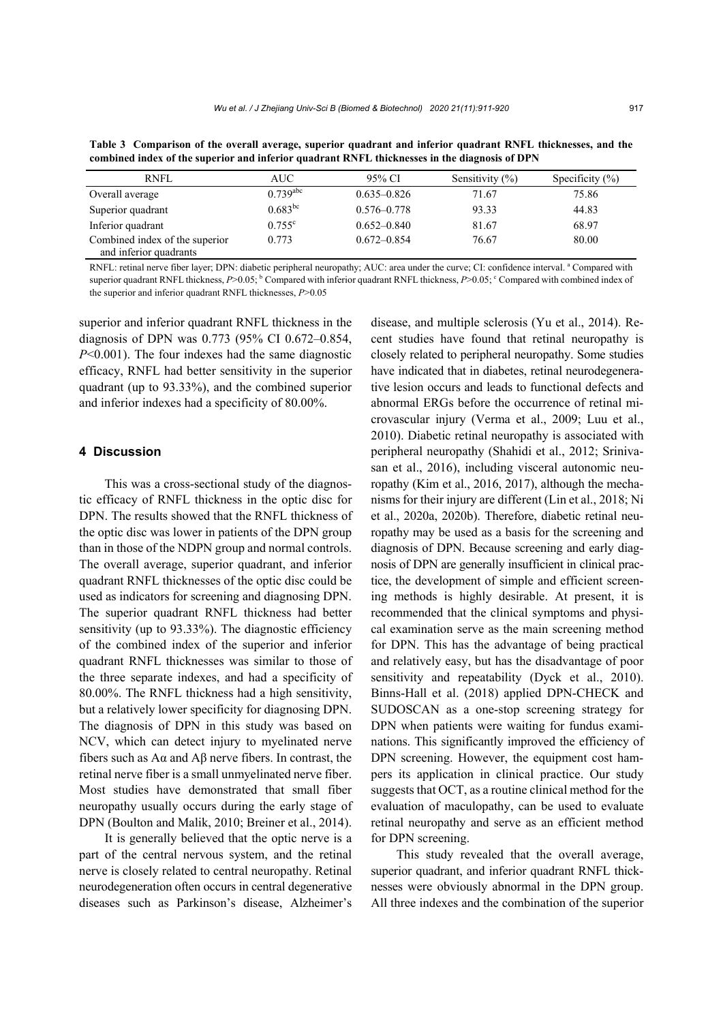**Table 3 Comparison of the overall average, superior quadrant and inferior quadrant RNFL thicknesses, and the** 

**combined index of the superior and inferior quadrant RNFL thicknesses in the diagnosis of DPN**  RNFL AUC 95% CI Sensitivity (%) Specificity (%) Overall average  $0.739^{abc}$   $0.635-0.826$   $71.67$   $75.86$ Superior quadrant  $0.683^{bc}$ 0.576–0.778 93.33 44.83

| and inferior quadrants                                                                                                                                |
|-------------------------------------------------------------------------------------------------------------------------------------------------------|
| RNFL: retinal nerve fiber layer; DPN: diabetic peripheral neuropathy; AUC: area under the curve; CI: confidence interval. "Compared with              |
| superior quadrant RNFL thickness, $P>0.05$ ; $^{6}$ Compared with inferior quadrant RNFL thickness, $P>0.05$ ; $^{c}$ Compared with combined index of |
| the superior and inferior quadrant RNFL thicknesses, $P > 0.05$                                                                                       |

superior and inferior quadrant RNFL thickness in the diagnosis of DPN was 0.773 (95% CI 0.672–0.854, *P*<0.001). The four indexes had the same diagnostic efficacy, RNFL had better sensitivity in the superior quadrant (up to 93.33%), and the combined superior and inferior indexes had a specificity of 80.00%.

Inferior quadrant 0.755<sup>c</sup>

Combined index of the superior

## **4 Discussion**

This was a cross-sectional study of the diagnostic efficacy of RNFL thickness in the optic disc for DPN. The results showed that the RNFL thickness of the optic disc was lower in patients of the DPN group than in those of the NDPN group and normal controls. The overall average, superior quadrant, and inferior quadrant RNFL thicknesses of the optic disc could be used as indicators for screening and diagnosing DPN. The superior quadrant RNFL thickness had better sensitivity (up to 93.33%). The diagnostic efficiency of the combined index of the superior and inferior quadrant RNFL thicknesses was similar to those of the three separate indexes, and had a specificity of 80.00%. The RNFL thickness had a high sensitivity, but a relatively lower specificity for diagnosing DPN. The diagnosis of DPN in this study was based on NCV, which can detect injury to myelinated nerve fibers such as  $A\alpha$  and  $A\beta$  nerve fibers. In contrast, the retinal nerve fiber is a small unmyelinated nerve fiber. Most studies have demonstrated that small fiber neuropathy usually occurs during the early stage of DPN (Boulton and Malik, 2010; Breiner et al., 2014).

It is generally believed that the optic nerve is a part of the central nervous system, and the retinal nerve is closely related to central neuropathy. Retinal neurodegeneration often occurs in central degenerative diseases such as Parkinson's disease, Alzheimer's

disease, and multiple sclerosis (Yu et al., 2014). Recent studies have found that retinal neuropathy is closely related to peripheral neuropathy. Some studies have indicated that in diabetes, retinal neurodegenerative lesion occurs and leads to functional defects and abnormal ERGs before the occurrence of retinal microvascular injury (Verma et al., 2009; Luu et al., 2010). Diabetic retinal neuropathy is associated with peripheral neuropathy (Shahidi et al., 2012; Srinivasan et al., 2016), including visceral autonomic neuropathy (Kim et al., 2016, 2017), although the mechanisms for their injury are different (Lin et al., 2018; Ni et al., 2020a, 2020b). Therefore, diabetic retinal neuropathy may be used as a basis for the screening and diagnosis of DPN. Because screening and early diagnosis of DPN are generally insufficient in clinical practice, the development of simple and efficient screening methods is highly desirable. At present, it is recommended that the clinical symptoms and physical examination serve as the main screening method for DPN. This has the advantage of being practical and relatively easy, but has the disadvantage of poor sensitivity and repeatability (Dyck et al., 2010). Binns-Hall et al. (2018) applied DPN-CHECK and SUDOSCAN as a one-stop screening strategy for DPN when patients were waiting for fundus examinations. This significantly improved the efficiency of DPN screening. However, the equipment cost hampers its application in clinical practice. Our study suggests that OCT, as a routine clinical method for the evaluation of maculopathy, can be used to evaluate retinal neuropathy and serve as an efficient method for DPN screening.

0.652–0.840 81.67 68.97

0.773 0.672–0.854 76.67 80.00

This study revealed that the overall average, superior quadrant, and inferior quadrant RNFL thicknesses were obviously abnormal in the DPN group. All three indexes and the combination of the superior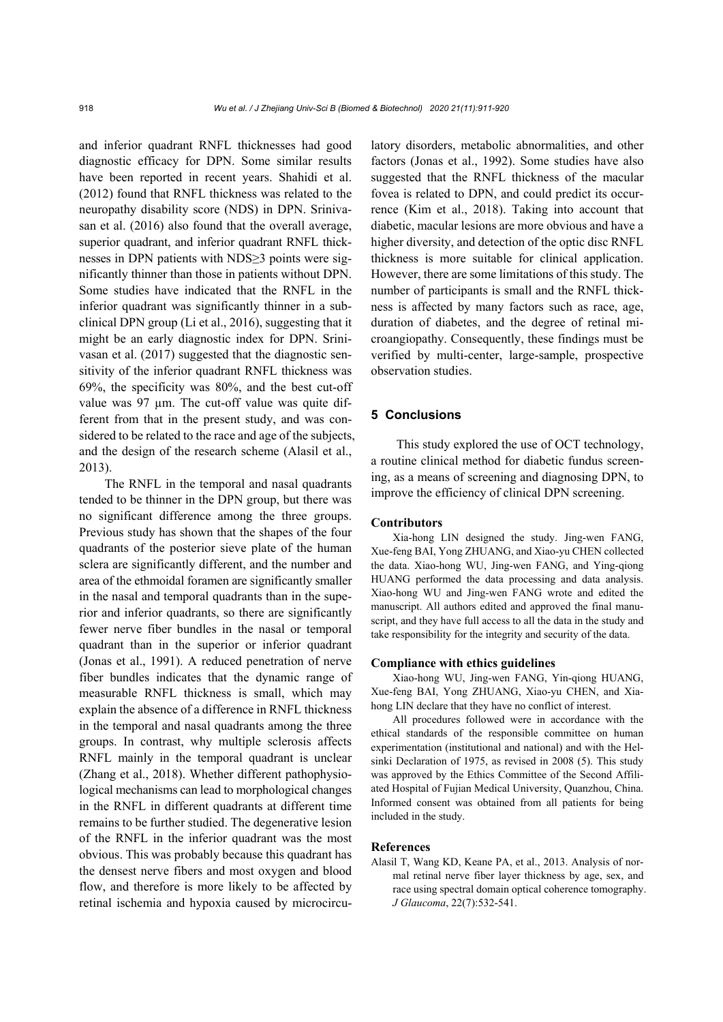and inferior quadrant RNFL thicknesses had good diagnostic efficacy for DPN. Some similar results have been reported in recent years. Shahidi et al. (2012) found that RNFL thickness was related to the neuropathy disability score (NDS) in DPN. Srinivasan et al. (2016) also found that the overall average, superior quadrant, and inferior quadrant RNFL thicknesses in DPN patients with NDS≥3 points were significantly thinner than those in patients without DPN. Some studies have indicated that the RNFL in the inferior quadrant was significantly thinner in a subclinical DPN group (Li et al., 2016), suggesting that it might be an early diagnostic index for DPN. Srinivasan et al. (2017) suggested that the diagnostic sensitivity of the inferior quadrant RNFL thickness was 69%, the specificity was 80%, and the best cut-off value was 97 µm. The cut-off value was quite different from that in the present study, and was considered to be related to the race and age of the subjects, and the design of the research scheme (Alasil et al., 2013).

The RNFL in the temporal and nasal quadrants tended to be thinner in the DPN group, but there was no significant difference among the three groups. Previous study has shown that the shapes of the four quadrants of the posterior sieve plate of the human sclera are significantly different, and the number and area of the ethmoidal foramen are significantly smaller in the nasal and temporal quadrants than in the superior and inferior quadrants, so there are significantly fewer nerve fiber bundles in the nasal or temporal quadrant than in the superior or inferior quadrant (Jonas et al., 1991). A reduced penetration of nerve fiber bundles indicates that the dynamic range of measurable RNFL thickness is small, which may explain the absence of a difference in RNFL thickness in the temporal and nasal quadrants among the three groups. In contrast, why multiple sclerosis affects RNFL mainly in the temporal quadrant is unclear (Zhang et al., 2018). Whether different pathophysiological mechanisms can lead to morphological changes in the RNFL in different quadrants at different time remains to be further studied. The degenerative lesion of the RNFL in the inferior quadrant was the most obvious. This was probably because this quadrant has the densest nerve fibers and most oxygen and blood flow, and therefore is more likely to be affected by retinal ischemia and hypoxia caused by microcirculatory disorders, metabolic abnormalities, and other factors (Jonas et al., 1992). Some studies have also suggested that the RNFL thickness of the macular fovea is related to DPN, and could predict its occurrence (Kim et al., 2018). Taking into account that diabetic, macular lesions are more obvious and have a higher diversity, and detection of the optic disc RNFL thickness is more suitable for clinical application. However, there are some limitations of this study. The number of participants is small and the RNFL thickness is affected by many factors such as race, age, duration of diabetes, and the degree of retinal microangiopathy. Consequently, these findings must be verified by multi-center, large-sample, prospective observation studies.

## **5 Conclusions**

This study explored the use of OCT technology, a routine clinical method for diabetic fundus screening, as a means of screening and diagnosing DPN, to improve the efficiency of clinical DPN screening.

### **Contributors**

Xia-hong LIN designed the study. Jing-wen FANG, Xue-feng BAI, Yong ZHUANG, and Xiao-yu CHEN collected the data. Xiao-hong WU, Jing-wen FANG, and Ying-qiong HUANG performed the data processing and data analysis. Xiao-hong WU and Jing-wen FANG wrote and edited the manuscript. All authors edited and approved the final manuscript, and they have full access to all the data in the study and take responsibility for the integrity and security of the data.

#### **Compliance with ethics guidelines**

Xiao-hong WU, Jing-wen FANG, Yin-qiong HUANG, Xue-feng BAI, Yong ZHUANG, Xiao-yu CHEN, and Xiahong LIN declare that they have no conflict of interest.

All procedures followed were in accordance with the ethical standards of the responsible committee on human experimentation (institutional and national) and with the Helsinki Declaration of 1975, as revised in 2008 (5). This study was approved by the Ethics Committee of the Second Affiliated Hospital of Fujian Medical University, Quanzhou, China. Informed consent was obtained from all patients for being included in the study.

#### **References**

Alasil T, Wang KD, Keane PA, et al., 2013. Analysis of normal retinal nerve fiber layer thickness by age, sex, and race using spectral domain optical coherence tomography. *J Glaucoma*, 22(7):532-541.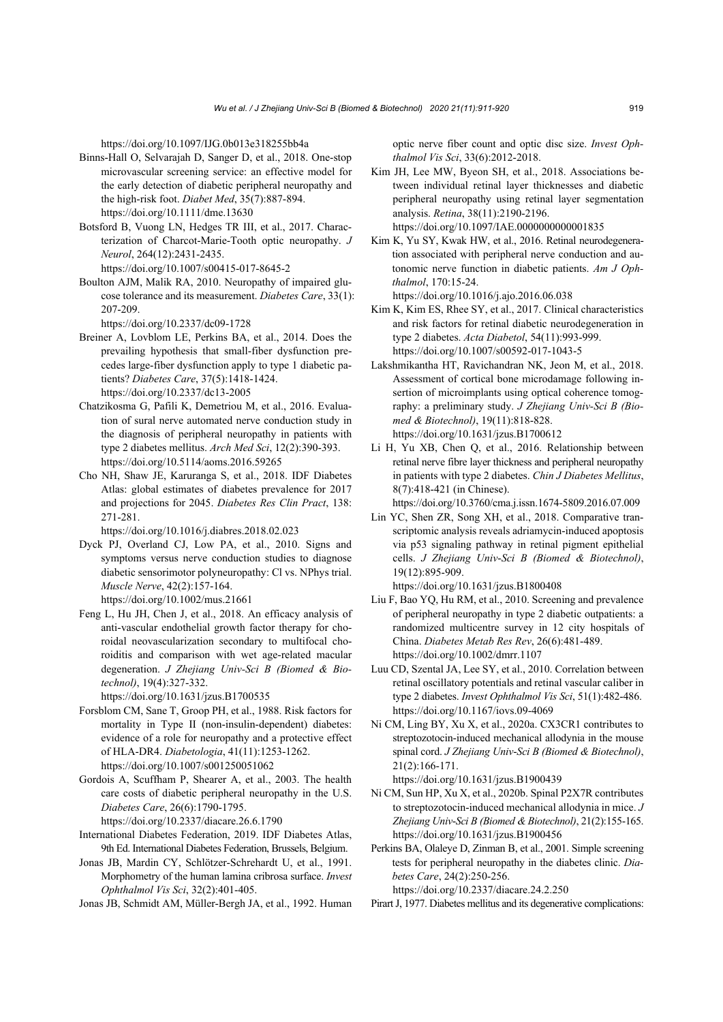https://doi.org/10.1097/IJG.0b013e318255bb4a

- Binns-Hall O, Selvarajah D, Sanger D, et al., 2018. One-stop microvascular screening service: an effective model for the early detection of diabetic peripheral neuropathy and the high-risk foot. *Diabet Med*, 35(7):887-894. https://doi.org/10.1111/dme.13630
- Botsford B, Vuong LN, Hedges TR III, et al., 2017. Characterization of Charcot-Marie-Tooth optic neuropathy. *J Neurol*, 264(12):2431-2435.
- https://doi.org/10.1007/s00415-017-8645-2 Boulton AJM, Malik RA, 2010. Neuropathy of impaired glucose tolerance and its measurement. *Diabetes Care*, 33(1): 207-209.
	- https://doi.org/10.2337/dc09-1728
- Breiner A, Lovblom LE, Perkins BA, et al., 2014. Does the prevailing hypothesis that small-fiber dysfunction precedes large-fiber dysfunction apply to type 1 diabetic patients? *Diabetes Care*, 37(5):1418-1424. https://doi.org/10.2337/dc13-2005
- Chatzikosma G, Pafili K, Demetriou M, et al., 2016. Evaluation of sural nerve automated nerve conduction study in the diagnosis of peripheral neuropathy in patients with type 2 diabetes mellitus. *Arch Med Sci*, 12(2):390-393. https://doi.org/10.5114/aoms.2016.59265
- Cho NH, Shaw JE, Karuranga S, et al., 2018. IDF Diabetes Atlas: global estimates of diabetes prevalence for 2017 and projections for 2045. *Diabetes Res Clin Pract*, 138: 271-281.

https://doi.org/10.1016/j.diabres.2018.02.023

- Dyck PJ, Overland CJ, Low PA, et al., 2010. Signs and symptoms versus nerve conduction studies to diagnose diabetic sensorimotor polyneuropathy: Cl vs. NPhys trial. *Muscle Nerve*, 42(2):157-164.
	- https://doi.org/10.1002/mus.21661
- Feng L, Hu JH, Chen J, et al., 2018. An efficacy analysis of anti-vascular endothelial growth factor therapy for choroidal neovascularization secondary to multifocal choroiditis and comparison with wet age-related macular degeneration. *J Zhejiang Univ-Sci B (Biomed & Biotechnol)*, 19(4):327-332.

https://doi.org/10.1631/jzus.B1700535

- Forsblom CM, Sane T, Groop PH, et al., 1988. Risk factors for mortality in Type II (non-insulin-dependent) diabetes: evidence of a role for neuropathy and a protective effect of HLA-DR4. *Diabetologia*, 41(11):1253-1262. https://doi.org/10.1007/s001250051062
- Gordois A, Scuffham P, Shearer A, et al., 2003. The health care costs of diabetic peripheral neuropathy in the U.S. *Diabetes Care*, 26(6):1790-1795. https://doi.org/10.2337/diacare.26.6.1790
- International Diabetes Federation, 2019. IDF Diabetes Atlas,
- 9th Ed. International Diabetes Federation, Brussels, Belgium. Jonas JB, Mardin CY, Schlötzer-Schrehardt U, et al., 1991. Morphometry of the human lamina cribrosa surface. *Invest*
- *Ophthalmol Vis Sci*, 32(2):401-405. Jonas JB, Schmidt AM, Müller-Bergh JA, et al., 1992. Human

optic nerve fiber count and optic disc size. *Invest Ophthalmol Vis Sci*, 33(6):2012-2018.

- Kim JH, Lee MW, Byeon SH, et al., 2018. Associations between individual retinal layer thicknesses and diabetic peripheral neuropathy using retinal layer segmentation analysis. *Retina*, 38(11):2190-2196. https://doi.org/10.1097/IAE.0000000000001835
- Kim K, Yu SY, Kwak HW, et al., 2016. Retinal neurodegeneration associated with peripheral nerve conduction and autonomic nerve function in diabetic patients. *Am J Ophthalmol*, 170:15-24.

https://doi.org/10.1016/j.ajo.2016.06.038

- Kim K, Kim ES, Rhee SY, et al., 2017. Clinical characteristics and risk factors for retinal diabetic neurodegeneration in type 2 diabetes. *Acta Diabetol*, 54(11):993-999. https://doi.org/10.1007/s00592-017-1043-5
- Lakshmikantha HT, Ravichandran NK, Jeon M, et al., 2018. Assessment of cortical bone microdamage following insertion of microimplants using optical coherence tomography: a preliminary study. *J Zhejiang Univ-Sci B (Biomed & Biotechnol)*, 19(11):818-828. https://doi.org/10.1631/jzus.B1700612
- Li H, Yu XB, Chen Q, et al., 2016. Relationship between retinal nerve fibre layer thickness and peripheral neuropathy in patients with type 2 diabetes. *Chin J Diabetes Mellitus*, 8(7):418-421 (in Chinese).

https://doi.org/10.3760/cma.j.issn.1674-5809.2016.07.009

Lin YC, Shen ZR, Song XH, et al., 2018. Comparative transcriptomic analysis reveals adriamycin-induced apoptosis via p53 signaling pathway in retinal pigment epithelial cells. *J Zhejiang Univ*-*Sci B (Biomed & Biotechnol)*, 19(12):895-909.

https://doi.org/10.1631/jzus.B1800408

- Liu F, Bao YQ, Hu RM, et al., 2010. Screening and prevalence of peripheral neuropathy in type 2 diabetic outpatients: a randomized multicentre survey in 12 city hospitals of China. *Diabetes Metab Res Rev*, 26(6):481-489. https://doi.org/10.1002/dmrr.1107
- Luu CD, Szental JA, Lee SY, et al., 2010. Correlation between retinal oscillatory potentials and retinal vascular caliber in type 2 diabetes. *Invest Ophthalmol Vis Sci*, 51(1):482-486. https://doi.org/10.1167/iovs.09-4069
- Ni CM, Ling BY, Xu X, et al., 2020a. CX3CR1 contributes to streptozotocin-induced mechanical allodynia in the mouse spinal cord. *J Zhejiang Univ*-*Sci B (Biomed & Biotechnol)*, 21(2):166-171.

https://doi.org/10.1631/jzus.B1900439

Ni CM, Sun HP, Xu X, et al., 2020b. Spinal P2X7R contributes to streptozotocin-induced mechanical allodynia in mice. *J Zhejiang Univ*-*Sci B (Biomed & Biotechnol)*, 21(2):155-165. https://doi.org/10.1631/jzus.B1900456

Perkins BA, Olaleye D, Zinman B, et al., 2001. Simple screening tests for peripheral neuropathy in the diabetes clinic. *Diabetes Care*, 24(2):250-256. https://doi.org/10.2337/diacare.24.2.250

Pirart J, 1977. Diabetes mellitus and its degenerative complications: